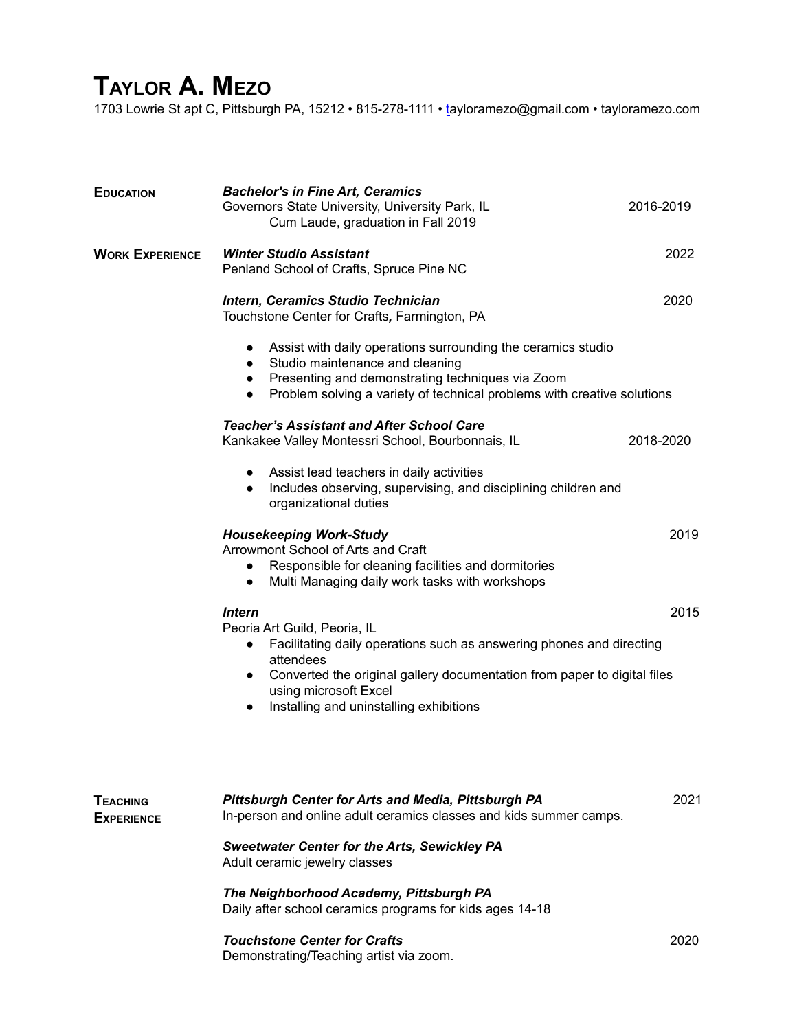## **TAYLOR A. MEZO**

1703 Lowrie St apt C, Pittsburgh PA, 15212 • 815-278-1111 • [ta](mailto:taylormz@aol.com)yloramezo@gmail.com • tayloramezo.com

| <b>EDUCATION</b>                     | <b>Bachelor's in Fine Art, Ceramics</b><br>Governors State University, University Park, IL<br>Cum Laude, graduation in Fall 2019                                                                                                                                                                                          | 2016-2019 |  |  |
|--------------------------------------|---------------------------------------------------------------------------------------------------------------------------------------------------------------------------------------------------------------------------------------------------------------------------------------------------------------------------|-----------|--|--|
| <b>WORK EXPERIENCE</b>               | <b>Winter Studio Assistant</b><br>Penland School of Crafts, Spruce Pine NC                                                                                                                                                                                                                                                | 2022      |  |  |
|                                      | Intern, Ceramics Studio Technician<br>Touchstone Center for Crafts, Farmington, PA                                                                                                                                                                                                                                        | 2020      |  |  |
|                                      | Assist with daily operations surrounding the ceramics studio<br>$\bullet$<br>Studio maintenance and cleaning<br>$\bullet$<br>• Presenting and demonstrating techniques via Zoom<br>Problem solving a variety of technical problems with creative solutions<br>$\bullet$                                                   |           |  |  |
|                                      | <b>Teacher's Assistant and After School Care</b><br>Kankakee Valley Montessri School, Bourbonnais, IL                                                                                                                                                                                                                     | 2018-2020 |  |  |
|                                      | Assist lead teachers in daily activities<br>$\bullet$<br>Includes observing, supervising, and disciplining children and<br>$\bullet$<br>organizational duties                                                                                                                                                             |           |  |  |
|                                      | <b>Housekeeping Work-Study</b><br>Arrowmont School of Arts and Craft<br>Responsible for cleaning facilities and dormitories<br>$\bullet$<br>Multi Managing daily work tasks with workshops<br>$\bullet$                                                                                                                   | 2019      |  |  |
|                                      | <b>Intern</b><br>Peoria Art Guild, Peoria, IL<br>Facilitating daily operations such as answering phones and directing<br>$\bullet$<br>attendees<br>Converted the original gallery documentation from paper to digital files<br>$\bullet$<br>using microsoft Excel<br>Installing and uninstalling exhibitions<br>$\bullet$ | 2015      |  |  |
| <b>TEACHING</b><br><b>EXPERIENCE</b> | Pittsburgh Center for Arts and Media, Pittsburgh PA<br>In-person and online adult ceramics classes and kids summer camps.                                                                                                                                                                                                 | 2021      |  |  |
|                                      | <b>Sweetwater Center for the Arts, Sewickley PA</b><br>Adult ceramic jewelry classes                                                                                                                                                                                                                                      |           |  |  |
|                                      | The Neighborhood Academy, Pittsburgh PA<br>Daily after school ceramics programs for kids ages 14-18                                                                                                                                                                                                                       |           |  |  |
|                                      | <b>Touchstone Center for Crafts</b><br>Demonstrating/Teaching artist via zoom.                                                                                                                                                                                                                                            | 2020      |  |  |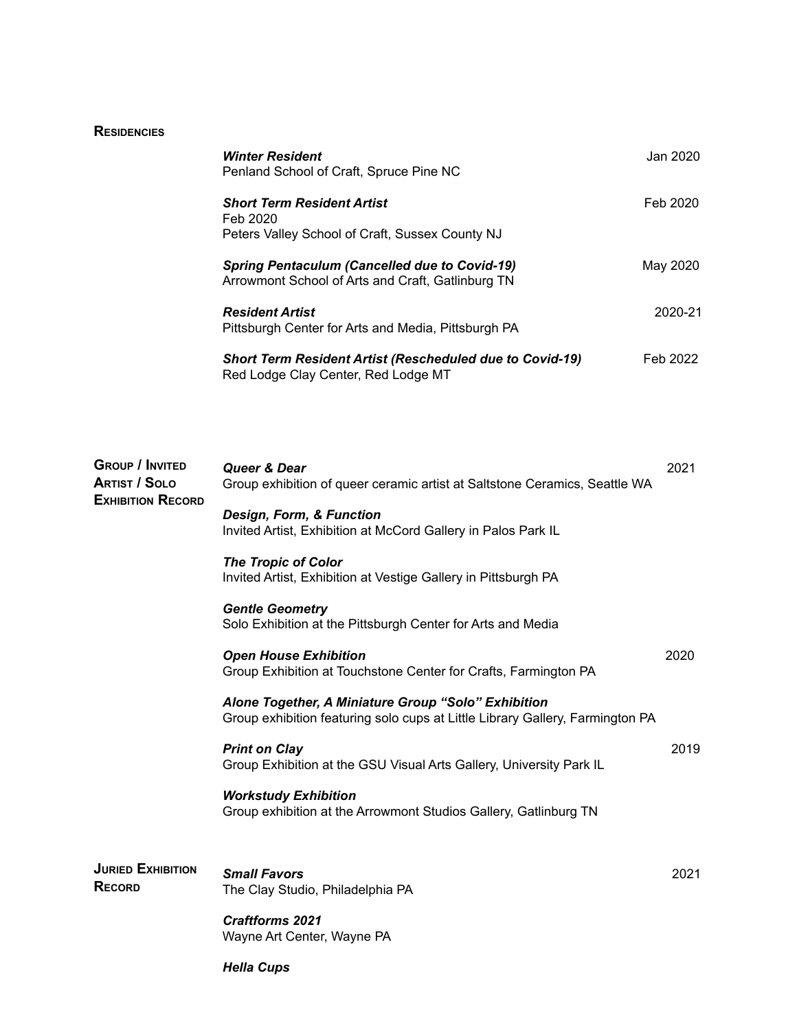## **RESIDENCIES**

| <b>Winter Resident</b><br>Penland School of Craft, Spruce Pine NC                                         | Jan 2020 |
|-----------------------------------------------------------------------------------------------------------|----------|
| <b>Short Term Resident Artist</b><br>Feb 2020<br>Peters Valley School of Craft, Sussex County NJ          | Feb 2020 |
| <b>Spring Pentaculum (Cancelled due to Covid-19)</b><br>Arrowmont School of Arts and Craft, Gatlinburg TN | May 2020 |
| <b>Resident Artist</b><br>Pittsburgh Center for Arts and Media, Pittsburgh PA                             | 2020-21  |
| <b>Short Term Resident Artist (Rescheduled due to Covid-19)</b><br>Red Lodge Clay Center, Red Lodge MT    | Feb 2022 |

| <b>GROUP / INVITED</b><br><b>ARTIST / SOLO</b><br><b>EXHIBITION RECORD</b> | Queer & Dear<br>Group exhibition of queer ceramic artist at Saltstone Ceramics, Seattle WA                                           | 2021 |
|----------------------------------------------------------------------------|--------------------------------------------------------------------------------------------------------------------------------------|------|
|                                                                            | Design, Form, & Function<br>Invited Artist, Exhibition at McCord Gallery in Palos Park IL                                            |      |
|                                                                            | <b>The Tropic of Color</b><br>Invited Artist, Exhibition at Vestige Gallery in Pittsburgh PA                                         |      |
|                                                                            | <b>Gentle Geometry</b><br>Solo Exhibition at the Pittsburgh Center for Arts and Media                                                |      |
|                                                                            | <b>Open House Exhibition</b><br>Group Exhibition at Touchstone Center for Crafts, Farmington PA                                      | 2020 |
|                                                                            | Alone Together, A Miniature Group "Solo" Exhibition<br>Group exhibition featuring solo cups at Little Library Gallery, Farmington PA |      |
|                                                                            | <b>Print on Clay</b><br>Group Exhibition at the GSU Visual Arts Gallery, University Park IL                                          | 2019 |
|                                                                            | <b>Workstudy Exhibition</b><br>Group exhibition at the Arrowmont Studios Gallery, Gatlinburg TN                                      |      |
| <b>JURIED EXHIBITION</b><br><b>RECORD</b>                                  | <b>Small Favors</b><br>The Clay Studio, Philadelphia PA                                                                              | 2021 |
|                                                                            | <b>Craftforms 2021</b><br>Wayne Art Center, Wayne PA                                                                                 |      |

*Hella Cups*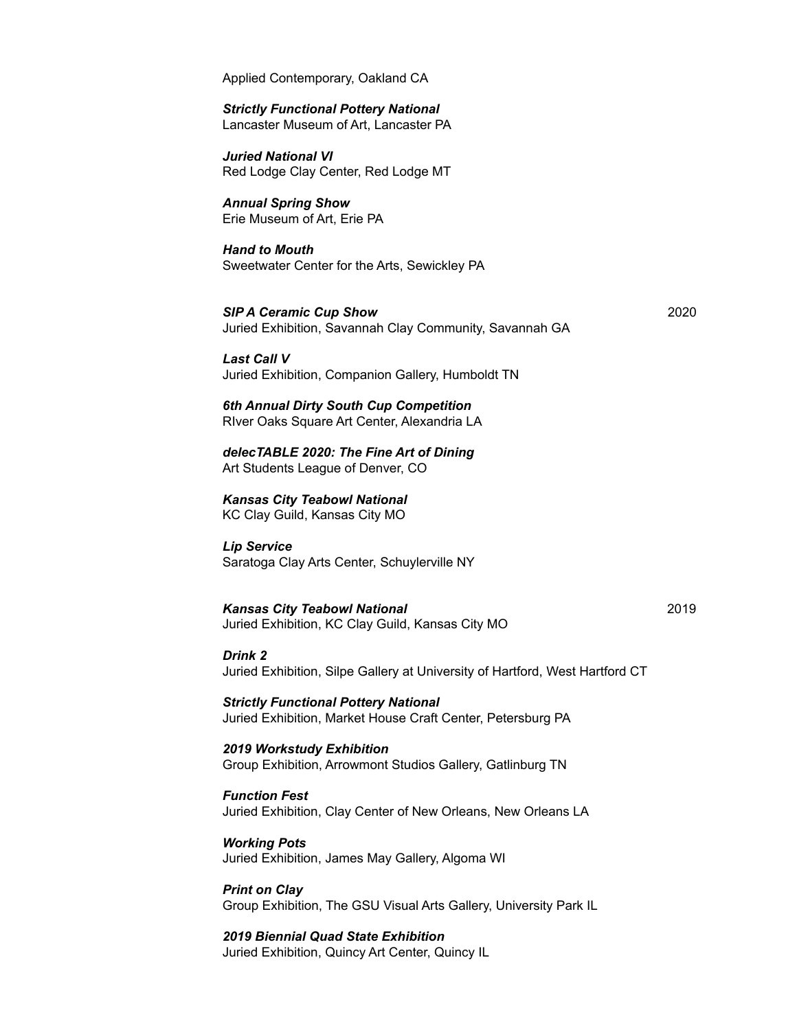Applied Contemporary, Oakland CA

## *Strictly Functional Pottery National*

Lancaster Museum of Art, Lancaster PA

*Juried National VI* Red Lodge Clay Center, Red Lodge MT

*Annual Spring Show* Erie Museum of Art, Erie PA

*Hand to Mouth* Sweetwater Center for the Arts, Sewickley PA

*SIP A Ceramic Cup Show* 2020 Juried Exhibition, Savannah Clay Community, Savannah GA

*Last Call V* Juried Exhibition, Companion Gallery, Humboldt TN

*6th Annual Dirty South Cup Competition* RIver Oaks Square Art Center, Alexandria LA

*delecTABLE 2020: The Fine Art of Dining* Art Students League of Denver, CO

*Kansas City Teabowl National* KC Clay Guild, Kansas City MO

*Lip Service* Saratoga Clay Arts Center, Schuylerville NY

*Kansas City Teabowl National* 2019 Juried Exhibition, KC Clay Guild, Kansas City MO

## *Drink 2*

Juried Exhibition, Silpe Gallery at University of Hartford, West Hartford CT

*Strictly Functional Pottery National* Juried Exhibition, Market House Craft Center, Petersburg PA

*2019 Workstudy Exhibition* Group Exhibition, Arrowmont Studios Gallery, Gatlinburg TN

*Function Fest* Juried Exhibition, Clay Center of New Orleans, New Orleans LA

*Working Pots* Juried Exhibition, James May Gallery, Algoma WI

*Print on Clay* Group Exhibition, The GSU Visual Arts Gallery, University Park IL

*2019 Biennial Quad State Exhibition* Juried Exhibition, Quincy Art Center, Quincy IL